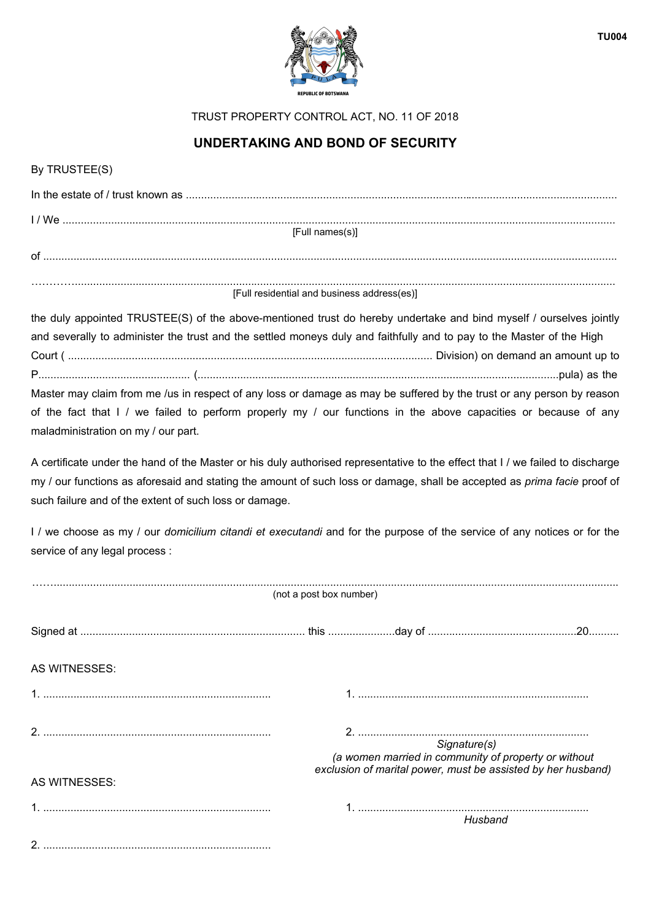

TRUST PROPERTY CONTROL ACT, NO. 11 OF 2018

## **UNDERTAKING AND BOND OF SECURITY**

## By TRUSTEE(S)

| [Full names(s)]                             |  |  |  |  |  |
|---------------------------------------------|--|--|--|--|--|
| of                                          |  |  |  |  |  |
|                                             |  |  |  |  |  |
| [Full residential and business address(es)] |  |  |  |  |  |

the duly appointed TRUSTEE(S) of the above-mentioned trust do hereby undertake and bind myself / ourselves jointly and severally to administer the trust and the settled moneys duly and faithfully and to pay to the Master of the High Court ( ........................................................................................................................ Division) on demand an amount up to P.................................................. (.......................................................................................................................pula) as the

Master may claim from me /us in respect of any loss or damage as may be suffered by the trust or any person by reason of the fact that I / we failed to perform properly my / our functions in the above capacities or because of any maladministration on my / our part.

A certificate under the hand of the Master or his duly authorised representative to the effect that I / we failed to discharge my / our functions as aforesaid and stating the amount of such loss or damage, shall be accepted as *prima facie* proof of such failure and of the extent of such loss or damage.

I / we choose as my / our *domicilium citandi et executandi* and for the purpose of the service of any notices or for the service of any legal process :

| (not a post box number) |                                                                                                                      |  |  |  |  |
|-------------------------|----------------------------------------------------------------------------------------------------------------------|--|--|--|--|
|                         |                                                                                                                      |  |  |  |  |
| AS WITNESSES:           |                                                                                                                      |  |  |  |  |
|                         |                                                                                                                      |  |  |  |  |
|                         | Signature(s)                                                                                                         |  |  |  |  |
| AS WITNESSES:           | (a women married in community of property or without<br>exclusion of marital power, must be assisted by her husband) |  |  |  |  |
|                         | Husband                                                                                                              |  |  |  |  |
|                         |                                                                                                                      |  |  |  |  |